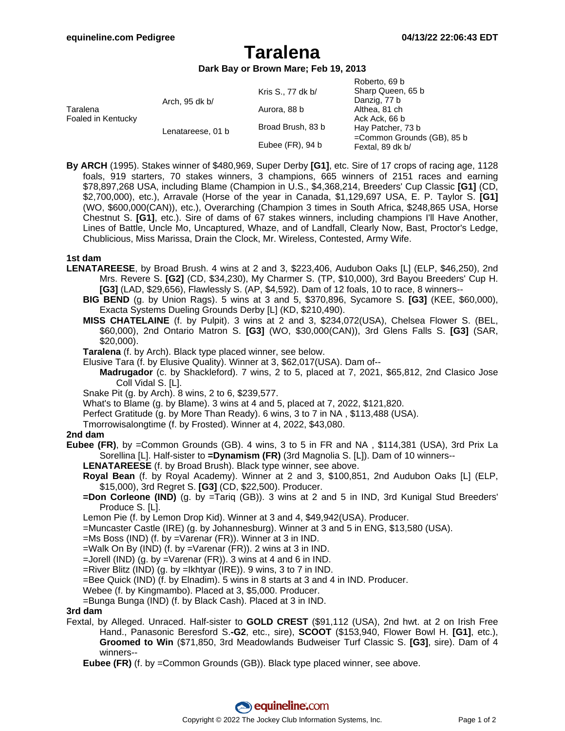# **Taralena**

**Dark Bay or Brown Mare; Feb 19, 2013**

| Taralena<br>Foaled in Kentucky | Arch, 95 dk b/    | Kris S., 77 dk b/   | Roberto, 69 b<br>Sharp Queen, 65 b<br>Danzig, 77 b |
|--------------------------------|-------------------|---------------------|----------------------------------------------------|
|                                |                   | Aurora, 88 b        | Althea, 81 ch                                      |
|                                |                   |                     | Ack Ack, 66 b                                      |
|                                | Lenatareese, 01 b | Broad Brush, 83 b   | Hay Patcher, 73 b                                  |
|                                |                   | Eubee $(FR)$ , 94 b | =Common Grounds (GB), 85 b<br>Fextal, 89 dk b/     |

**By ARCH** (1995). Stakes winner of \$480,969, Super Derby **[G1]**, etc. Sire of 17 crops of racing age, 1128 foals, 919 starters, 70 stakes winners, 3 champions, 665 winners of 2151 races and earning \$78,897,268 USA, including Blame (Champion in U.S., \$4,368,214, Breeders' Cup Classic **[G1]** (CD, \$2,700,000), etc.), Arravale (Horse of the year in Canada, \$1,129,697 USA, E. P. Taylor S. **[G1]** (WO, \$600,000(CAN)), etc.), Overarching (Champion 3 times in South Africa, \$248,865 USA, Horse Chestnut S. **[G1]**, etc.). Sire of dams of 67 stakes winners, including champions I'll Have Another, Lines of Battle, Uncle Mo, Uncaptured, Whaze, and of Landfall, Clearly Now, Bast, Proctor's Ledge, Chublicious, Miss Marissa, Drain the Clock, Mr. Wireless, Contested, Army Wife.

### **1st dam**

- **LENATAREESE**, by Broad Brush. 4 wins at 2 and 3, \$223,406, Audubon Oaks [L] (ELP, \$46,250), 2nd Mrs. Revere S. **[G2]** (CD, \$34,230), My Charmer S. (TP, \$10,000), 3rd Bayou Breeders' Cup H. **[G3]** (LAD, \$29,656), Flawlessly S. (AP, \$4,592). Dam of 12 foals, 10 to race, 8 winners--
	- **BIG BEND** (g. by Union Rags). 5 wins at 3 and 5, \$370,896, Sycamore S. **[G3]** (KEE, \$60,000), Exacta Systems Dueling Grounds Derby [L] (KD, \$210,490).
	- **MISS CHATELAINE** (f. by Pulpit). 3 wins at 2 and 3, \$234,072(USA), Chelsea Flower S. (BEL, \$60,000), 2nd Ontario Matron S. **[G3]** (WO, \$30,000(CAN)), 3rd Glens Falls S. **[G3]** (SAR, \$20,000).
	- **Taralena** (f. by Arch). Black type placed winner, see below.
	- Elusive Tara (f. by Elusive Quality). Winner at 3, \$62,017(USA). Dam of--
	- **Madrugador** (c. by Shackleford). 7 wins, 2 to 5, placed at 7, 2021, \$65,812, 2nd Clasico Jose Coll Vidal S. [L].
	- Snake Pit (g. by Arch). 8 wins, 2 to 6, \$239,577.
	- What's to Blame (g. by Blame). 3 wins at 4 and 5, placed at 7, 2022, \$121,820.
	- Perfect Gratitude (g. by More Than Ready). 6 wins, 3 to 7 in NA , \$113,488 (USA).
	- Tmorrowisalongtime (f. by Frosted). Winner at 4, 2022, \$43,080.

### **2nd dam**

- **Eubee (FR)**, by =Common Grounds (GB). 4 wins, 3 to 5 in FR and NA , \$114,381 (USA), 3rd Prix La Sorellina [L]. Half-sister to **=Dynamism (FR)** (3rd Magnolia S. [L]). Dam of 10 winners--
	- **LENATAREESE** (f. by Broad Brush). Black type winner, see above.
	- **Royal Bean** (f. by Royal Academy). Winner at 2 and 3, \$100,851, 2nd Audubon Oaks [L] (ELP, \$15,000), 3rd Regret S. **[G3]** (CD, \$22,500). Producer.
	- **=Don Corleone (IND)** (g. by =Tariq (GB)). 3 wins at 2 and 5 in IND, 3rd Kunigal Stud Breeders' Produce S. [L].
	- Lemon Pie (f. by Lemon Drop Kid). Winner at 3 and 4, \$49,942(USA). Producer.
	- =Muncaster Castle (IRE) (g. by Johannesburg). Winner at 3 and 5 in ENG, \$13,580 (USA).
	- =Ms Boss (IND) (f. by =Varenar (FR)). Winner at 3 in IND.
	- $=$ Walk On By (IND) (f. by  $=$ Varenar (FR)). 2 wins at 3 in IND.
	- $=$ Jorell (IND) (g. by  $=$ Varenar (FR)). 3 wins at 4 and 6 in IND.
	- =River Blitz (IND) (g. by =Ikhtyar (IRE)). 9 wins, 3 to 7 in IND.
	- =Bee Quick (IND) (f. by Elnadim). 5 wins in 8 starts at 3 and 4 in IND. Producer.
	- Webee (f. by Kingmambo). Placed at 3, \$5,000. Producer.

=Bunga Bunga (IND) (f. by Black Cash). Placed at 3 in IND.

### **3rd dam**

- Fextal, by Alleged. Unraced. Half-sister to **GOLD CREST** (\$91,112 (USA), 2nd hwt. at 2 on Irish Free Hand., Panasonic Beresford S.**-G2**, etc., sire), **SCOOT** (\$153,940, Flower Bowl H. **[G1]**, etc.), **Groomed to Win** (\$71,850, 3rd Meadowlands Budweiser Turf Classic S. **[G3]**, sire). Dam of 4 winners--
	- **Eubee (FR)** (f. by =Common Grounds (GB)). Black type placed winner, see above.